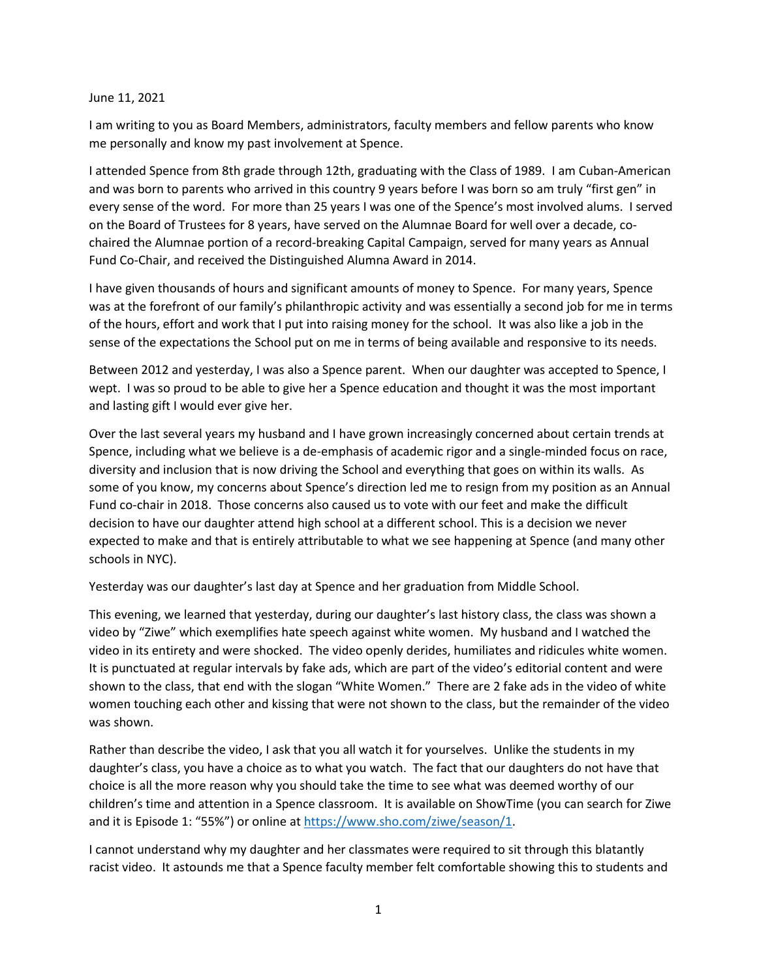## June 11, 2021

I am writing to you as Board Members, administrators, faculty members and fellow parents who know me personally and know my past involvement at Spence.

I attended Spence from 8th grade through 12th, graduating with the Class of 1989. I am Cuban-American and was born to parents who arrived in this country 9 years before I was born so am truly "first gen" in every sense of the word. For more than 25 years I was one of the Spence's most involved alums. I served on the Board of Trustees for 8 years, have served on the Alumnae Board for well over a decade, cochaired the Alumnae portion of a record-breaking Capital Campaign, served for many years as Annual Fund Co-Chair, and received the Distinguished Alumna Award in 2014.

I have given thousands of hours and significant amounts of money to Spence. For many years, Spence was at the forefront of our family's philanthropic activity and was essentially a second job for me in terms of the hours, effort and work that I put into raising money for the school. It was also like a job in the sense of the expectations the School put on me in terms of being available and responsive to its needs.

Between 2012 and yesterday, I was also a Spence parent. When our daughter was accepted to Spence, I wept. I was so proud to be able to give her a Spence education and thought it was the most important and lasting gift I would ever give her.

Over the last several years my husband and I have grown increasingly concerned about certain trends at Spence, including what we believe is a de-emphasis of academic rigor and a single-minded focus on race, diversity and inclusion that is now driving the School and everything that goes on within its walls. As some of you know, my concerns about Spence's direction led me to resign from my position as an Annual Fund co-chair in 2018. Those concerns also caused us to vote with our feet and make the difficult decision to have our daughter attend high school at a different school. This is a decision we never expected to make and that is entirely attributable to what we see happening at Spence (and many other schools in NYC).

Yesterday was our daughter's last day at Spence and her graduation from Middle School.

This evening, we learned that yesterday, during our daughter's last history class, the class was shown a video by "Ziwe" which exemplifies hate speech against white women. My husband and I watched the video in its entirety and were shocked. The video openly derides, humiliates and ridicules white women. It is punctuated at regular intervals by fake ads, which are part of the video's editorial content and were shown to the class, that end with the slogan "White Women." There are 2 fake ads in the video of white women touching each other and kissing that were not shown to the class, but the remainder of the video was shown.

Rather than describe the video, I ask that you all watch it for yourselves. Unlike the students in my daughter's class, you have a choice as to what you watch. The fact that our daughters do not have that choice is all the more reason why you should take the time to see what was deemed worthy of our children's time and attention in a Spence classroom. It is available on ShowTime (you can search for Ziwe and it is Episode 1: "55%") or online at [https://www.sho.com/ziwe/season/1.](https://www.sho.com/ziwe/season/1)

I cannot understand why my daughter and her classmates were required to sit through this blatantly racist video. It astounds me that a Spence faculty member felt comfortable showing this to students and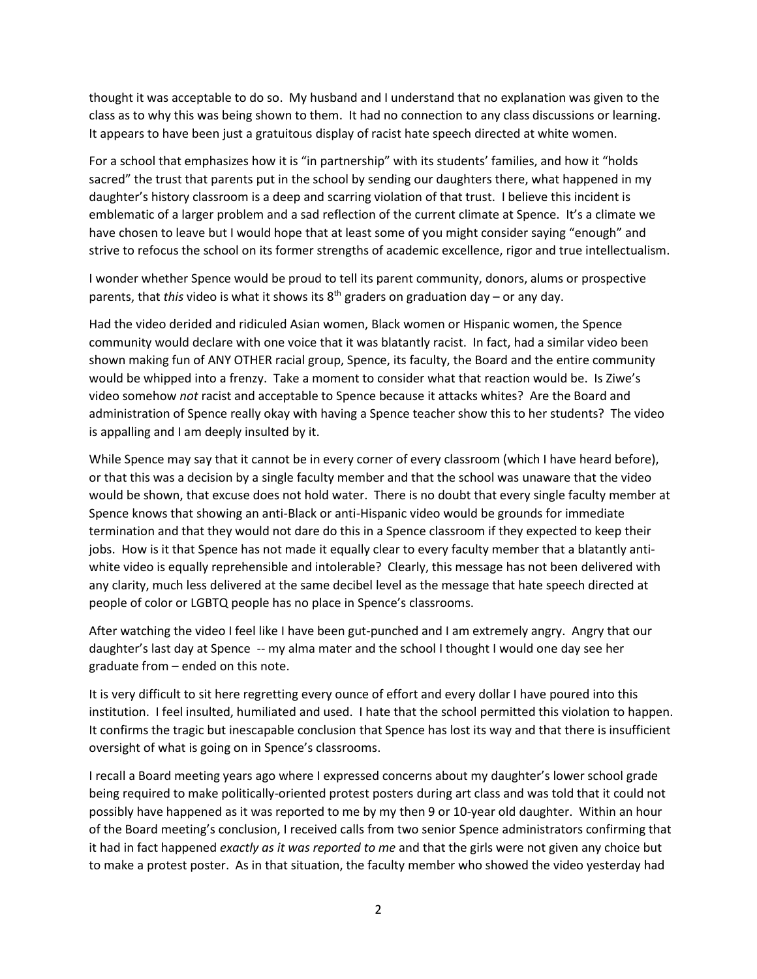thought it was acceptable to do so. My husband and I understand that no explanation was given to the class as to why this was being shown to them. It had no connection to any class discussions or learning. It appears to have been just a gratuitous display of racist hate speech directed at white women.

For a school that emphasizes how it is "in partnership" with its students' families, and how it "holds sacred" the trust that parents put in the school by sending our daughters there, what happened in my daughter's history classroom is a deep and scarring violation of that trust. I believe this incident is emblematic of a larger problem and a sad reflection of the current climate at Spence. It's a climate we have chosen to leave but I would hope that at least some of you might consider saying "enough" and strive to refocus the school on its former strengths of academic excellence, rigor and true intellectualism.

I wonder whether Spence would be proud to tell its parent community, donors, alums or prospective parents, that *this* video is what it shows its 8th graders on graduation day – or any day.

Had the video derided and ridiculed Asian women, Black women or Hispanic women, the Spence community would declare with one voice that it was blatantly racist. In fact, had a similar video been shown making fun of ANY OTHER racial group, Spence, its faculty, the Board and the entire community would be whipped into a frenzy. Take a moment to consider what that reaction would be. Is Ziwe's video somehow *not* racist and acceptable to Spence because it attacks whites? Are the Board and administration of Spence really okay with having a Spence teacher show this to her students? The video is appalling and I am deeply insulted by it.

While Spence may say that it cannot be in every corner of every classroom (which I have heard before), or that this was a decision by a single faculty member and that the school was unaware that the video would be shown, that excuse does not hold water. There is no doubt that every single faculty member at Spence knows that showing an anti-Black or anti-Hispanic video would be grounds for immediate termination and that they would not dare do this in a Spence classroom if they expected to keep their jobs. How is it that Spence has not made it equally clear to every faculty member that a blatantly antiwhite video is equally reprehensible and intolerable? Clearly, this message has not been delivered with any clarity, much less delivered at the same decibel level as the message that hate speech directed at people of color or LGBTQ people has no place in Spence's classrooms.

After watching the video I feel like I have been gut-punched and I am extremely angry. Angry that our daughter's last day at Spence -- my alma mater and the school I thought I would one day see her graduate from – ended on this note.

It is very difficult to sit here regretting every ounce of effort and every dollar I have poured into this institution. I feel insulted, humiliated and used. I hate that the school permitted this violation to happen. It confirms the tragic but inescapable conclusion that Spence has lost its way and that there is insufficient oversight of what is going on in Spence's classrooms.

I recall a Board meeting years ago where I expressed concerns about my daughter's lower school grade being required to make politically-oriented protest posters during art class and was told that it could not possibly have happened as it was reported to me by my then 9 or 10-year old daughter. Within an hour of the Board meeting's conclusion, I received calls from two senior Spence administrators confirming that it had in fact happened *exactly as it was reported to me* and that the girls were not given any choice but to make a protest poster. As in that situation, the faculty member who showed the video yesterday had